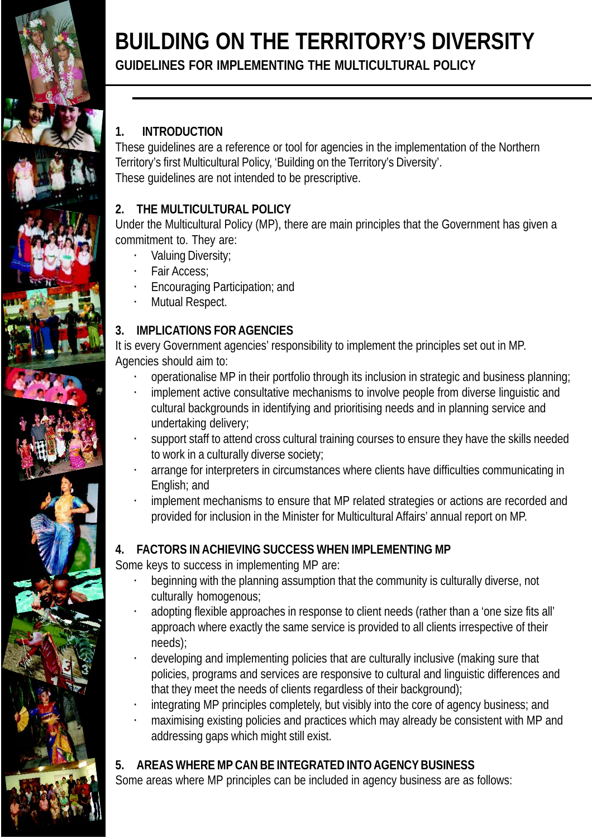

# **BUILDING ON THE TERRITORY'S DIVERSITY**

## **GUIDELINES FOR IMPLEMENTING THE MULTICULTURAL POLICY**

## **1. INTRODUCTION**

These guidelines are a reference or tool for agencies in the implementation of the Northern Territory's first Multicultural Policy, 'Building on the Territory's Diversity'. These guidelines are not intended to be prescriptive.

## **2. THE MULTICULTURAL POLICY**

Under the Multicultural Policy (MP), there are main principles that the Government has given a commitment to. They are:

- · Valuing Diversity;
- · Fair Access;
- Encouraging Participation; and
- Mutual Respect.

## **3. IMPLICATIONS FOR AGENCIES**

It is every Government agencies' responsibility to implement the principles set out in MP. Agencies should aim to:

- · operationalise MP in their portfolio through its inclusion in strategic and business planning;
- implement active consultative mechanisms to involve people from diverse linguistic and cultural backgrounds in identifying and prioritising needs and in planning service and undertaking delivery;
- support staff to attend cross cultural training courses to ensure they have the skills needed to work in a culturally diverse society;
- · arrange for interpreters in circumstances where clients have difficulties communicating in English; and
- implement mechanisms to ensure that MP related strategies or actions are recorded and provided for inclusion in the Minister for Multicultural Affairs' annual report on MP.

## **4. FACTORS IN ACHIEVING SUCCESS WHEN IMPLEMENTING MP**

Some keys to success in implementing MP are:

- beginning with the planning assumption that the community is culturally diverse, not culturally homogenous;
- · adopting flexible approaches in response to client needs (rather than a 'one size fits all' approach where exactly the same service is provided to all clients irrespective of their needs);
- · developing and implementing policies that are culturally inclusive (making sure that policies, programs and services are responsive to cultural and linguistic differences and that they meet the needs of clients regardless of their background);
- integrating MP principles completely, but visibly into the core of agency business; and
- · maximising existing policies and practices which may already be consistent with MP and addressing gaps which might still exist.

## **5. AREAS WHERE MP CAN BE INTEGRATED INTO AGENCY BUSINESS**

Some areas where MP principles can be included in agency business are as follows: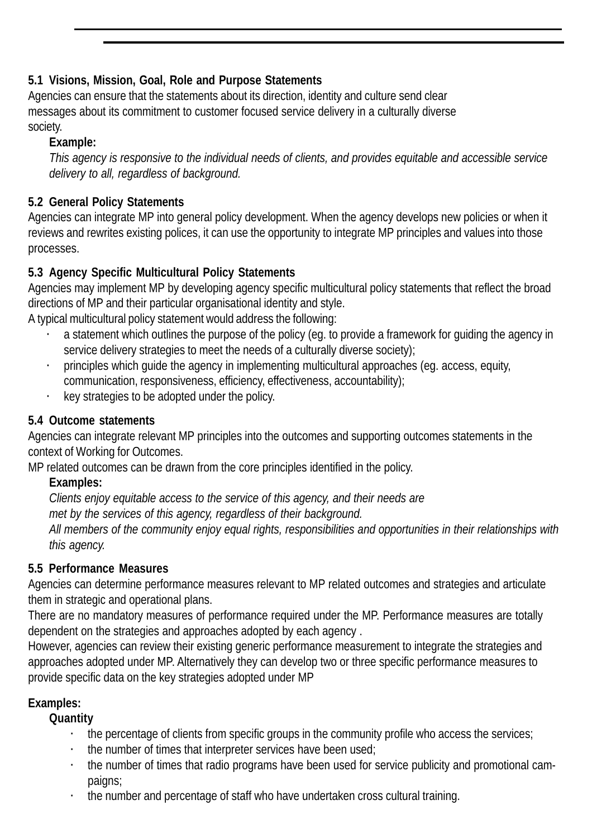## **5.1 Visions, Mission, Goal, Role and Purpose Statements**

Agencies can ensure that the statements about its direction, identity and culture send clear messages about its commitment to customer focused service delivery in a culturally diverse society.

#### **Example:**

*This agency is responsive to the individual needs of clients, and provides equitable and accessible service delivery to all, regardless of background.*

## **5.2 General Policy Statements**

Agencies can integrate MP into general policy development. When the agency develops new policies or when it reviews and rewrites existing polices, it can use the opportunity to integrate MP principles and values into those processes.

## **5.3 Agency Specific Multicultural Policy Statements**

Agencies may implement MP by developing agency specific multicultural policy statements that reflect the broad directions of MP and their particular organisational identity and style.

A typical multicultural policy statement would address the following:

- a statement which outlines the purpose of the policy (eg. to provide a framework for quiding the agency in service delivery strategies to meet the needs of a culturally diverse society);
- · principles which guide the agency in implementing multicultural approaches (eg. access, equity, communication, responsiveness, efficiency, effectiveness, accountability);
- · key strategies to be adopted under the policy.

#### **5.4 Outcome statements**

Agencies can integrate relevant MP principles into the outcomes and supporting outcomes statements in the context of Working for Outcomes.

MP related outcomes can be drawn from the core principles identified in the policy.

**Examples:**

*Clients enjoy equitable access to the service of this agency, and their needs are met by the services of this agency, regardless of their background. All members of the community enjoy equal rights, responsibilities and opportunities in their relationships with this agency.*

#### **5.5 Performance Measures**

Agencies can determine performance measures relevant to MP related outcomes and strategies and articulate them in strategic and operational plans.

There are no mandatory measures of performance required under the MP. Performance measures are totally dependent on the strategies and approaches adopted by each agency .

However, agencies can review their existing generic performance measurement to integrate the strategies and approaches adopted under MP. Alternatively they can develop two or three specific performance measures to provide specific data on the key strategies adopted under MP

#### **Examples:**

**Quantity**

- · the percentage of clients from specific groups in the community profile who access the services;
- the number of times that interpreter services have been used:
- the number of times that radio programs have been used for service publicity and promotional campaigns;
- · the number and percentage of staff who have undertaken cross cultural training.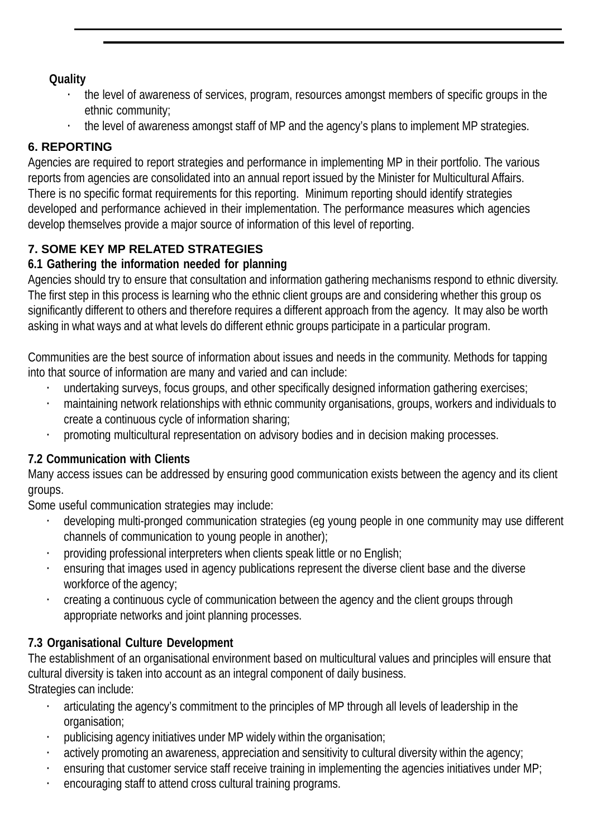#### **Quality**

- · the level of awareness of services, program, resources amongst members of specific groups in the ethnic community;
- · the level of awareness amongst staff of MP and the agency's plans to implement MP strategies.

## **6. REPORTING**

Agencies are required to report strategies and performance in implementing MP in their portfolio. The various reports from agencies are consolidated into an annual report issued by the Minister for Multicultural Affairs. There is no specific format requirements for this reporting. Minimum reporting should identify strategies developed and performance achieved in their implementation. The performance measures which agencies develop themselves provide a major source of information of this level of reporting.

## **7. SOME KEY MP RELATED STRATEGIES**

#### **6.1 Gathering the information needed for planning**

Agencies should try to ensure that consultation and information gathering mechanisms respond to ethnic diversity. The first step in this process is learning who the ethnic client groups are and considering whether this group os significantly different to others and therefore requires a different approach from the agency. It may also be worth asking in what ways and at what levels do different ethnic groups participate in a particular program.

Communities are the best source of information about issues and needs in the community. Methods for tapping into that source of information are many and varied and can include:

- · undertaking surveys, focus groups, and other specifically designed information gathering exercises;
- · maintaining network relationships with ethnic community organisations, groups, workers and individuals to create a continuous cycle of information sharing;
- · promoting multicultural representation on advisory bodies and in decision making processes.

## **7.2 Communication with Clients**

Many access issues can be addressed by ensuring good communication exists between the agency and its client groups.

Some useful communication strategies may include:

- developing multi-pronged communication strategies (eg young people in one community may use different channels of communication to young people in another);
- · providing professional interpreters when clients speak little or no English;
- ensuring that images used in agency publications represent the diverse client base and the diverse workforce of the agency;
- · creating a continuous cycle of communication between the agency and the client groups through appropriate networks and joint planning processes.

## **7.3 Organisational Culture Development**

The establishment of an organisational environment based on multicultural values and principles will ensure that cultural diversity is taken into account as an integral component of daily business. Strategies can include:

- · articulating the agency's commitment to the principles of MP through all levels of leadership in the organisation;
- · publicising agency initiatives under MP widely within the organisation;
- actively promoting an awareness, appreciation and sensitivity to cultural diversity within the agency;
- · ensuring that customer service staff receive training in implementing the agencies initiatives under MP;
- encouraging staff to attend cross cultural training programs.